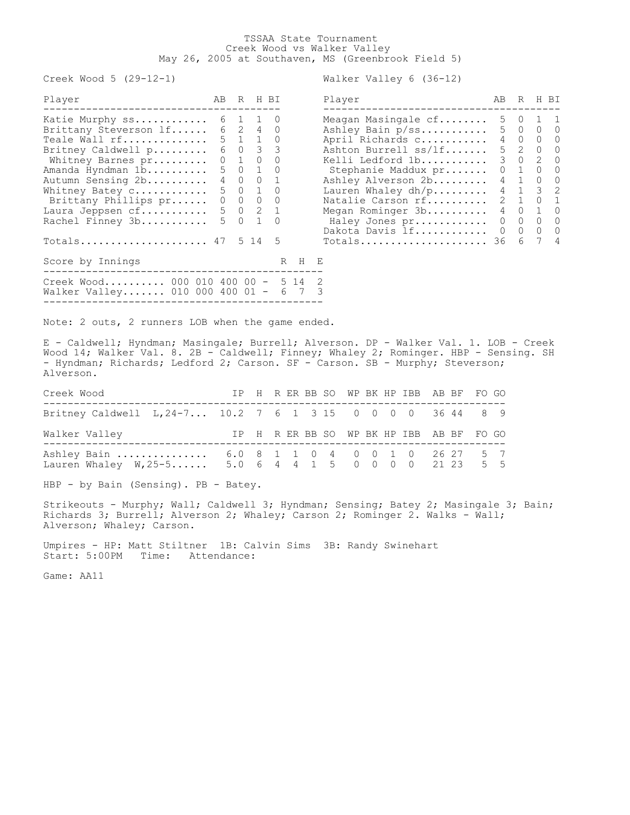## TSSAA State Tournament Creek Wood vs Walker Valley May 26, 2005 at Southaven, MS (Greenbrook Field 5)

Creek Wood 5 (29-12-1) Walker Valley 6 (36-12)

| Katie Murphy $ss$ 6 1 1 0<br>5 0 1 1<br>Meagan Masingale cf                         |       |  |
|-------------------------------------------------------------------------------------|-------|--|
|                                                                                     |       |  |
| 6 2 4 0<br>5 0 0 0<br>Brittany Steverson lf<br>Ashley Bain p/ss                     |       |  |
| $5 \t1 \t1 \t0$<br>4 0 0 0<br>Teale Wall rf<br>April Richards c                     |       |  |
| 6 0 3 3<br>5 2 0 0<br>Ashton Burrell ss/lf<br>Britney Caldwell p                    |       |  |
| $0 \quad 1 \quad 0$<br>3 0 2 0<br>$\Omega$<br>Kelli Ledford 1b<br>Whitney Barnes pr |       |  |
| 5 0 1 0<br>$0 \t1 \t0 \t0$<br>Amanda Hyndman 1b<br>Stephanie Maddux pr              |       |  |
| 4 0 0 1<br>4 1 0 0<br>Ashley Alverson 2b<br>Autumn Sensing 2b                       |       |  |
| 4 1 3 2<br>5 0 1 0<br>Lauren Whaley dh/p<br>Whitney Batey c                         |       |  |
| Natalie Carson rf 2 1 0 1<br>$0\qquad 0\qquad 0\qquad 0$<br>Brittany Phillips pr    |       |  |
| Laura Jeppsen $cf.$ 5 0 2 1<br>Megan Rominger 3b 4 0 1 0                            |       |  |
| 5 0 1 0<br>$0\qquad 0\qquad 0\qquad 0$<br>Rachel Finney 3b<br>Haley Jones pr        |       |  |
| Dakota Davis lf 0 0 0 0                                                             |       |  |
| Totals 47 $5$ 14 $5$<br>$Totals$ 36                                                 | 6 7 4 |  |
| Score by Innings<br>R H E                                                           |       |  |
| Creek Wood 000 010 400 00 -<br>5 14 2                                               |       |  |
| Walker Valley 010 000 400 01 -<br>6 7 3                                             |       |  |

| Player               | AB.           | R                |   | H BI             |
|----------------------|---------------|------------------|---|------------------|
| Meagan Masingale cf  | 5             | $\left( \right)$ | 1 | 1.               |
| Ashley Bain p/ss     | 5.            | 0                | 0 |                  |
| April Richards c     | 4             | 0                | 0 | $\left( \right)$ |
| Ashton Burrell ss/lf | 5             | 2                | 0 | $\left( \right)$ |
| Kelli Ledford 1b     | 3             | 0                | 2 | $\left( \right)$ |
| Stephanie Maddux pr  | 0             | 1                | 0 |                  |
| Ashley Alverson 2b   | 4             | 1                | 0 | 0                |
| Lauren Whaley $dh/p$ | 4             | 1                | 3 | 2                |
| Natalie Carson rf    | $\mathcal{L}$ | 1                | 0 | 1                |
| Megan Rominger 3b    | 4             | 0                | 1 | U                |
| Haley Jones pr       | 0             | 0                | U | Ω                |
| Dakota Davis lf      | ∩             | 0                | 0 | ∩                |
| Totals<br>.          | 36            | 6                |   | 4                |

Note: 2 outs, 2 runners LOB when the game ended.

E - Caldwell; Hyndman; Masingale; Burrell; Alverson. DP - Walker Val. 1. LOB - Creek Wood 14; Walker Val. 8. 2B - Caldwell; Finney; Whaley 2; Rominger. HBP - Sensing. SH - Hyndman; Richards; Ledford 2; Carson. SF - Carson. SB - Murphy; Steverson; Alverson.

| Creek Wood                                                                                            |  |  |  |  | IP H R ER BB SO WP BK HP IBB AB BF FO GO |  |  |
|-------------------------------------------------------------------------------------------------------|--|--|--|--|------------------------------------------|--|--|
| Britney Caldwell L, 24-7 10.2 7 6 1 3 15 0 0 0 0 36 44 8 9                                            |  |  |  |  |                                          |  |  |
| Walker Valley                                                                                         |  |  |  |  | IP H R ER BB SO WP BK HP IBB AB BF FO GO |  |  |
| Ashley Bain  6.0 8 1 1 0 4 0 0 1 0 26 27 5 7<br>Lauren Whaley W, 25-5 5.0 6 4 4 1 5 0 0 0 0 21 23 5 5 |  |  |  |  |                                          |  |  |

HBP - by Bain (Sensing). PB - Batey.

Strikeouts - Murphy; Wall; Caldwell 3; Hyndman; Sensing; Batey 2; Masingale 3; Bain; Richards 3; Burrell; Alverson 2; Whaley; Carson 2; Rominger 2. Walks - Wall; Alverson; Whaley; Carson.

Umpires - HP: Matt Stiltner 1B: Calvin Sims 3B: Randy Swinehart Start: 5:00PM Time: Attendance:

Game: AA11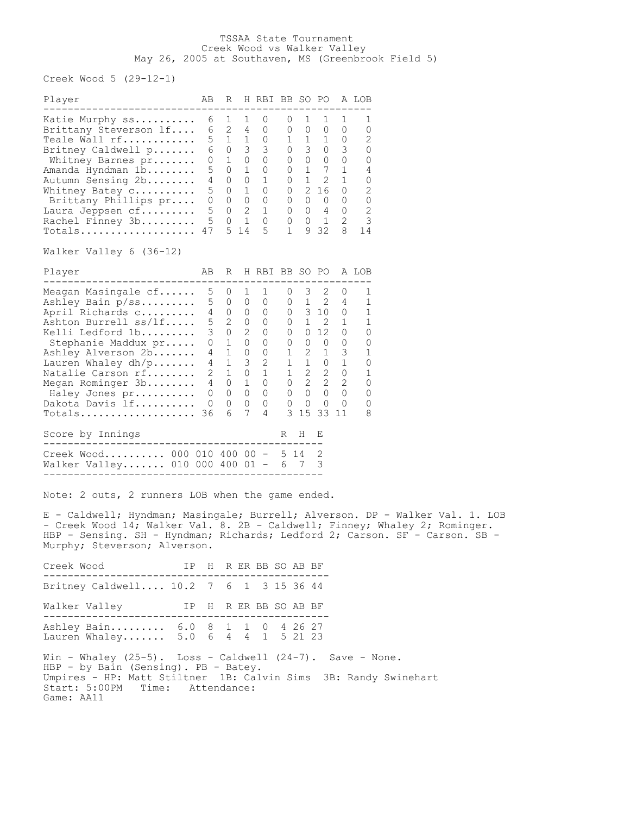## TSSAA State Tournament Creek Wood vs Walker Valley May 26, 2005 at Southaven, MS (Greenbrook Field 5)

Creek Wood 5 (29-12-1)

| Player                                                                                                                                                                                                                                                      | AB                                                                    | R                                                                                                         |                                                                                                                | H RBI BB SO PO                                                   |                                                                            |                                                                                                                                    |                                                                                                                                                                                                                                                                                                                                                                                                                                             |                                                                                        | A LOB                 |
|-------------------------------------------------------------------------------------------------------------------------------------------------------------------------------------------------------------------------------------------------------------|-----------------------------------------------------------------------|-----------------------------------------------------------------------------------------------------------|----------------------------------------------------------------------------------------------------------------|------------------------------------------------------------------|----------------------------------------------------------------------------|------------------------------------------------------------------------------------------------------------------------------------|---------------------------------------------------------------------------------------------------------------------------------------------------------------------------------------------------------------------------------------------------------------------------------------------------------------------------------------------------------------------------------------------------------------------------------------------|----------------------------------------------------------------------------------------|-----------------------|
| Meagan Masingale cf<br>Ashley Bain p/ss<br>April Richards c<br>Ashton Burrell ss/lf<br>Kelli Ledford 1b<br>Stephanie Maddux pr<br>Ashley Alverson 2b<br>Lauren Whaley $dh/p$<br>Natalie Carson rf<br>Megan Rominger 3b<br>Haley Jones pr<br>Dakota Davis 1f | 5<br>5<br>4<br>5<br>3<br>0<br>4<br>4<br>$\mathfrak{D}$<br>4<br>0<br>0 | 0<br>$\Omega$<br>$\Omega$<br>$\overline{2}$<br>0<br>$\mathbf{1}$<br>1<br>1<br>$\mathbf{1}$<br>0<br>0<br>0 | 1<br>$\Omega$<br>0<br>0<br>$\mathcal{D}_{\mathcal{A}}$<br>$\Omega$<br>0<br>3<br>$\Omega$<br>1<br>$\Omega$<br>0 | 1<br>0<br>0<br>0<br>0<br>0<br>0<br>$\overline{2}$<br>0<br>0<br>0 | 0<br>0<br>0<br>0<br>0<br>0<br>1<br>1<br>$\mathbf{1}$<br>0<br>0<br>$\Omega$ | 3<br>1<br>$\mathbf{1}$<br>$\Omega$<br>0<br>$\overline{2}$<br>$\mathbf{1}$<br>$\mathbf{2}$<br>$\overline{2}$<br>$\Omega$<br>$\circ$ | $\mathcal{D}_{\mathcal{L}}^{\mathcal{L}}(\mathcal{L})=\mathcal{D}_{\mathcal{L}}^{\mathcal{L}}(\mathcal{L})\mathcal{D}_{\mathcal{L}}^{\mathcal{L}}(\mathcal{L})$<br>2<br>310<br>- 2<br>12 <sup>°</sup><br>$\Omega$<br>$\mathbf 1$<br>0<br>$\mathcal{D}_{\mathcal{L}}^{\mathcal{L}}(\mathcal{L})=\mathcal{D}_{\mathcal{L}}^{\mathcal{L}}(\mathcal{L})\mathcal{D}_{\mathcal{L}}^{\mathcal{L}}(\mathcal{L})$<br>$\overline{2}$<br>$\Omega$<br>0 | 0<br>4<br>$\Omega$<br>1<br>$\Omega$<br>0<br>3<br>$\Omega$<br>2<br>$\Omega$<br>$\Omega$ | Λ<br>0<br>Λ<br>Ω<br>0 |
| Totals                                                                                                                                                                                                                                                      | 36                                                                    | 6                                                                                                         | 7                                                                                                              | 4                                                                | 3                                                                          | 15                                                                                                                                 | 33                                                                                                                                                                                                                                                                                                                                                                                                                                          | 11                                                                                     | 8                     |
| Score by Innings                                                                                                                                                                                                                                            |                                                                       |                                                                                                           |                                                                                                                |                                                                  | R                                                                          | H                                                                                                                                  | E,                                                                                                                                                                                                                                                                                                                                                                                                                                          |                                                                                        |                       |
| Creek Wood<br>000<br>Walker Valley 010                                                                                                                                                                                                                      | 010<br>000                                                            | 400<br>400                                                                                                | n n<br>01                                                                                                      |                                                                  | 5.<br>6                                                                    | 14                                                                                                                                 | 3                                                                                                                                                                                                                                                                                                                                                                                                                                           |                                                                                        |                       |

Note: 2 outs, 2 runners LOB when the game ended.

E - Caldwell; Hyndman; Masingale; Burrell; Alverson. DP - Walker Val. 1. LOB - Creek Wood 14; Walker Val. 8. 2B - Caldwell; Finney; Whaley 2; Rominger. HBP - Sensing. SH - Hyndman; Richards; Ledford 2; Carson. SF - Carson. SB - Murphy; Steverson; Alverson.

Creek Wood IP H R ER BB SO AB BF ----------------------------------------------- Britney Caldwell.... 10.2 7 6 1 3 15 36 44 Walker Valley IP H R ER BB SO AB BF ----------------------------------------------- Ashley Bain......... 6.0 8 1 1 0 4 26 27 Lauren Whaley....... 5.0 6 4 4 1 5 21 23 Win - Whaley (25-5). Loss - Caldwell (24-7). Save - None. HBP - by Bain (Sensing). PB - Batey. Umpires - HP: Matt Stiltner 1B: Calvin Sims 3B: Randy Swinehart Start: 5:00PM Time: Attendance: Game: AA11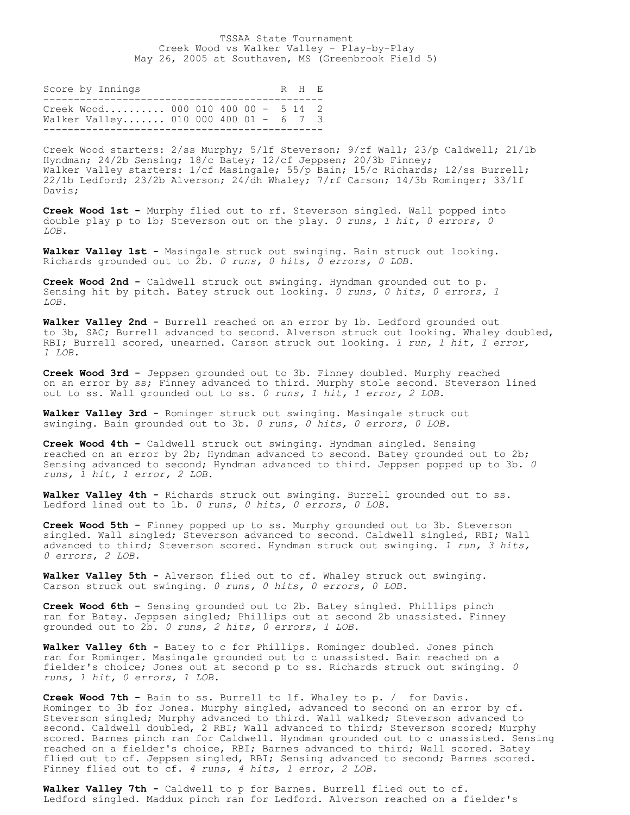| Score by Innings                                                           |  |  |  | R H F. |  |
|----------------------------------------------------------------------------|--|--|--|--------|--|
| Creek Wood 000 010 400 00 - 5 14 2<br>Walker Valley 010 000 400 01 - 6 7 3 |  |  |  |        |  |

Creek Wood starters: 2/ss Murphy; 5/lf Steverson; 9/rf Wall; 23/p Caldwell; 21/1b Hyndman; 24/2b Sensing; 18/c Batey; 12/cf Jeppsen; 20/3b Finney; Walker Valley starters:  $1/cf$  Masingale; 55/p Bain; 15/c Richards; 12/ss Burrell; 22/1b Ledford; 23/2b Alverson; 24/dh Whaley; 7/rf Carson; 14/3b Rominger; 33/lf Davis;

**Creek Wood 1st -** Murphy flied out to rf. Steverson singled. Wall popped into double play p to 1b; Steverson out on the play. *0 runs, 1 hit, 0 errors, 0 LOB.*

**Walker Valley 1st -** Masingale struck out swinging. Bain struck out looking. Richards grounded out to 2b. *0 runs, 0 hits, 0 errors, 0 LOB.*

**Creek Wood 2nd -** Caldwell struck out swinging. Hyndman grounded out to p. Sensing hit by pitch. Batey struck out looking. *0 runs, 0 hits, 0 errors, 1 LOB.*

**Walker Valley 2nd -** Burrell reached on an error by 1b. Ledford grounded out to 3b, SAC; Burrell advanced to second. Alverson struck out looking. Whaley doubled, RBI; Burrell scored, unearned. Carson struck out looking. *1 run, 1 hit, 1 error, 1 LOB.*

**Creek Wood 3rd -** Jeppsen grounded out to 3b. Finney doubled. Murphy reached on an error by ss; Finney advanced to third. Murphy stole second. Steverson lined out to ss. Wall grounded out to ss. *0 runs, 1 hit, 1 error, 2 LOB.*

**Walker Valley 3rd -** Rominger struck out swinging. Masingale struck out swinging. Bain grounded out to 3b. *0 runs, 0 hits, 0 errors, 0 LOB.*

**Creek Wood 4th -** Caldwell struck out swinging. Hyndman singled. Sensing reached on an error by 2b; Hyndman advanced to second. Batey grounded out to 2b; Sensing advanced to second; Hyndman advanced to third. Jeppsen popped up to 3b. *0 runs, 1 hit, 1 error, 2 LOB.*

**Walker Valley 4th -** Richards struck out swinging. Burrell grounded out to ss. Ledford lined out to 1b. *0 runs, 0 hits, 0 errors, 0 LOB.*

**Creek Wood 5th -** Finney popped up to ss. Murphy grounded out to 3b. Steverson singled. Wall singled; Steverson advanced to second. Caldwell singled, RBI; Wall advanced to third; Steverson scored. Hyndman struck out swinging. *1 run, 3 hits, 0 errors, 2 LOB.*

**Walker Valley 5th -** Alverson flied out to cf. Whaley struck out swinging. Carson struck out swinging. *0 runs, 0 hits, 0 errors, 0 LOB.*

**Creek Wood 6th -** Sensing grounded out to 2b. Batey singled. Phillips pinch ran for Batey. Jeppsen singled; Phillips out at second 2b unassisted. Finney grounded out to 2b. *0 runs, 2 hits, 0 errors, 1 LOB.*

Walker Valley 6th - Batey to c for Phillips. Rominger doubled. Jones pinch ran for Rominger. Masingale grounded out to c unassisted. Bain reached on a fielder's choice; Jones out at second p to ss. Richards struck out swinging. *0 runs, 1 hit, 0 errors, 1 LOB.*

**Creek Wood 7th -** Bain to ss. Burrell to lf. Whaley to p. / for Davis. Rominger to 3b for Jones. Murphy singled, advanced to second on an error by cf. Steverson singled; Murphy advanced to third. Wall walked; Steverson advanced to second. Caldwell doubled, 2 RBI; Wall advanced to third; Steverson scored; Murphy scored. Barnes pinch ran for Caldwell. Hyndman grounded out to c unassisted. Sensing reached on a fielder's choice, RBI; Barnes advanced to third; Wall scored. Batey flied out to cf. Jeppsen singled, RBI; Sensing advanced to second; Barnes scored. Finney flied out to cf. *4 runs, 4 hits, 1 error, 2 LOB.*

**Walker Valley 7th -** Caldwell to p for Barnes. Burrell flied out to cf. Ledford singled. Maddux pinch ran for Ledford. Alverson reached on a fielder's